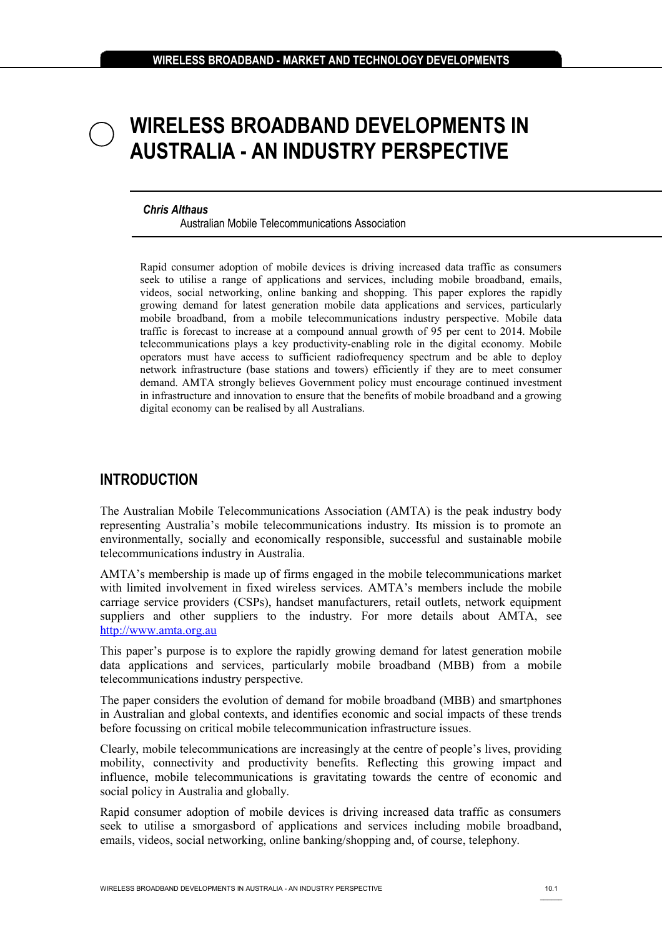# **WIRELESS BROADBAND DEVELOPMENTS IN AUSTRALIA - AN INDUSTRY PERSPECTIVE**

#### *Chris Althaus*

Australian Mobile Telecommunications Association

Rapid consumer adoption of mobile devices is driving increased data traffic as consumers seek to utilise a range of applications and services, including mobile broadband, emails, videos, social networking, online banking and shopping. This paper explores the rapidly growing demand for latest generation mobile data applications and services, particularly mobile broadband, from a mobile telecommunications industry perspective. Mobile data traffic is forecast to increase at a compound annual growth of 95 per cent to 2014. Mobile telecommunications plays a key productivity-enabling role in the digital economy. Mobile operators must have access to sufficient radiofrequency spectrum and be able to deploy network infrastructure (base stations and towers) efficiently if they are to meet consumer demand. AMTA strongly believes Government policy must encourage continued investment in infrastructure and innovation to ensure that the benefits of mobile broadband and a growing digital economy can be realised by all Australians.

## **INTRODUCTION**

The Australian Mobile Telecommunications Association (AMTA) is the peak industry body representing Australia's mobile telecommunications industry. Its mission is to promote an environmentally, socially and economically responsible, successful and sustainable mobile telecommunications industry in Australia.

AMTA's membership is made up of firms engaged in the mobile telecommunications market with limited involvement in fixed wireless services. AMTA's members include the mobile carriage service providers (CSPs), handset manufacturers, retail outlets, network equipment suppliers and other suppliers to the industry. For more details about AMTA, see [http://www.amta.org.au](http://www.amta.org.au/)

This paper's purpose is to explore the rapidly growing demand for latest generation mobile data applications and services, particularly mobile broadband (MBB) from a mobile telecommunications industry perspective.

The paper considers the evolution of demand for mobile broadband (MBB) and smartphones in Australian and global contexts, and identifies economic and social impacts of these trends before focussing on critical mobile telecommunication infrastructure issues.

Clearly, mobile telecommunications are increasingly at the centre of people's lives, providing mobility, connectivity and productivity benefits. Reflecting this growing impact and influence, mobile telecommunications is gravitating towards the centre of economic and social policy in Australia and globally.

Rapid consumer adoption of mobile devices is driving increased data traffic as consumers seek to utilise a smorgasbord of applications and services including mobile broadband, emails, videos, social networking, online banking/shopping and, of course, telephony.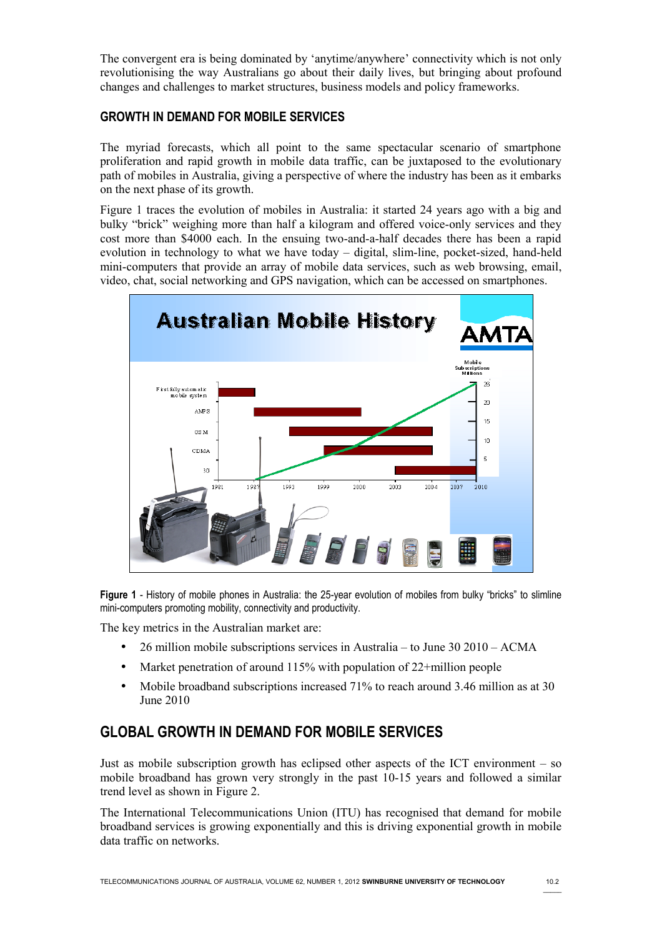The convergent era is being dominated by 'anytime/anywhere' connectivity which is not only revolutionising the way Australians go about their daily lives, but bringing about profound changes and challenges to market structures, business models and policy frameworks.

### **GROWTH IN DEMAND FOR MOBILE SERVICES**

The myriad forecasts, which all point to the same spectacular scenario of smartphone proliferation and rapid growth in mobile data traffic, can be juxtaposed to the evolutionary path of mobiles in Australia, giving a perspective of where the industry has been as it embarks on the next phase of its growth.

Figure 1 traces the evolution of mobiles in Australia: it started 24 years ago with a big and bulky "brick" weighing more than half a kilogram and offered voice-only services and they cost more than \$4000 each. In the ensuing two-and-a-half decades there has been a rapid evolution in technology to what we have today – digital, slim-line, pocket-sized, hand-held mini-computers that provide an array of mobile data services, such as web browsing, email, video, chat, social networking and GPS navigation, which can be accessed on smartphones.



**Figure 1** - History of mobile phones in Australia: the 25-year evolution of mobiles from bulky "bricks" to slimline mini-computers promoting mobility, connectivity and productivity.

The key metrics in the Australian market are:

- 26 million mobile subscriptions services in Australia to June 30 2010 ACMA
- Market penetration of around 115% with population of 22+million people
- Mobile broadband subscriptions increased 71% to reach around 3.46 million as at 30 June 2010

# **GLOBAL GROWTH IN DEMAND FOR MOBILE SERVICES**

Just as mobile subscription growth has eclipsed other aspects of the ICT environment – so mobile broadband has grown very strongly in the past 10-15 years and followed a similar trend level as shown in Figure 2.

The International Telecommunications Union (ITU) has recognised that demand for mobile broadband services is growing exponentially and this is driving exponential growth in mobile data traffic on networks.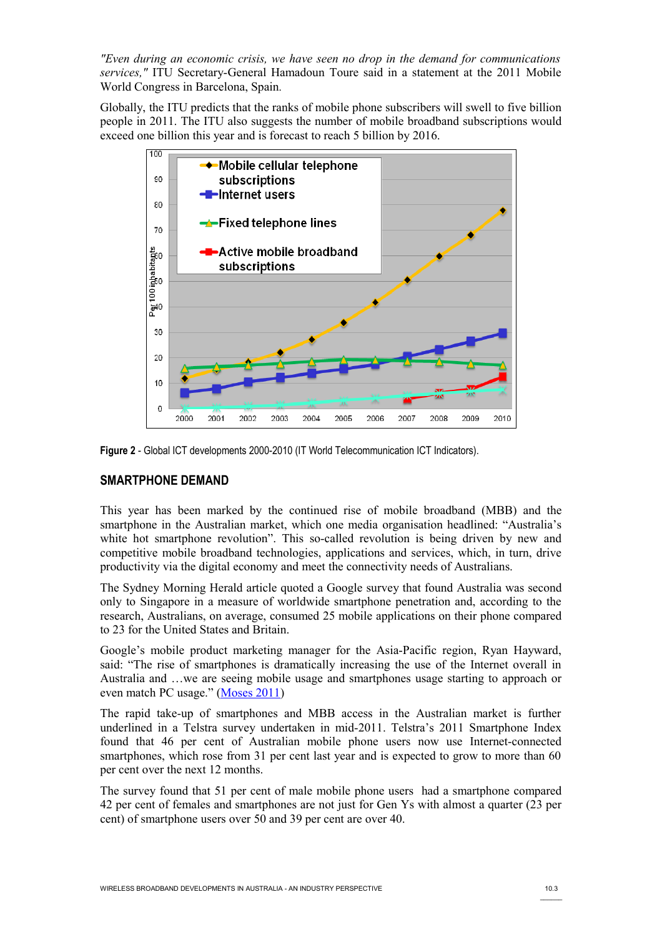*"Even during an economic crisis, we have seen no drop in the demand for communications services,"* ITU Secretary-General Hamadoun Toure said in a statement at the 2011 Mobile World Congress in Barcelona, Spain*.*

Globally, the ITU predicts that the ranks of mobile phone subscribers will swell to five billion people in 2011. The ITU also suggests the number of mobile broadband subscriptions would exceed one billion this year and is forecast to reach 5 billion by 2016.



**Figure 2** - Global ICT developments 2000-2010 (IT World Telecommunication ICT Indicators).

#### **SMARTPHONE DEMAND**

This year has been marked by the continued rise of mobile broadband (MBB) and the smartphone in the Australian market, which one media organisation headlined: "Australia's white hot smartphone revolution". This so-called revolution is being driven by new and competitive mobile broadband technologies, applications and services, which, in turn, drive productivity via the digital economy and meet the connectivity needs of Australians.

The Sydney Morning Herald article quoted a Google survey that found Australia was second only to Singapore in a measure of worldwide smartphone penetration and, according to the research, Australians, on average, consumed 25 mobile applications on their phone compared to 23 for the United States and Britain.

Google's mobile product marketing manager for the Asia-Pacific region, Ryan Hayward, said: "The rise of smartphones is dramatically increasing the use of the Internet overall in Australia and …we are seeing mobile usage and smartphones usage starting to approach or even match PC usage." [\( Moses 2011\)](#page-13-0)

The rapid take-up of smartphones and MBB access in the Australian market is further underlined in a Telstra survey undertaken in mid-2011. Telstra's 2011 Smartphone Index found that 46 per cent of Australian mobile phone users now use Internet-connected smartphones, which rose from 31 per cent last year and is expected to grow to more than 60 per cent over the next 12 months.

The survey found that 51 per cent of male mobile phone users had a smartphone compared 42 per cent of females and smartphones are not just for Gen Ys with almost a quarter (23 per cent) of smartphone users over 50 and 39 per cent are over 40.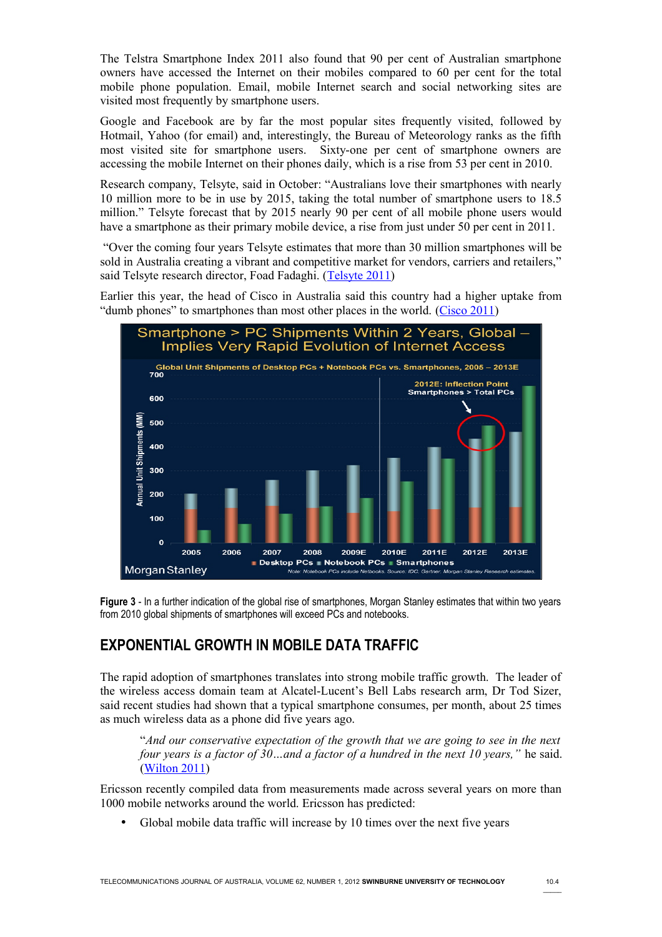The Telstra Smartphone Index 2011 also found that 90 per cent of Australian smartphone owners have accessed the Internet on their mobiles compared to 60 per cent for the total mobile phone population. Email, mobile Internet search and social networking sites are visited most frequently by smartphone users.

Google and Facebook are by far the most popular sites frequently visited, followed by Hotmail, Yahoo (for email) and, interestingly, the Bureau of Meteorology ranks as the fifth most visited site for smartphone users. Sixty-one per cent of smartphone owners are accessing the mobile Internet on their phones daily, which is a rise from 53 per cent in 2010.

Research company, Telsyte, said in October: "Australians love their smartphones with nearly 10 million more to be in use by 2015, taking the total number of smartphone users to 18.5 million." Telsyte forecast that by 2015 nearly 90 per cent of all mobile phone users would have a smartphone as their primary mobile device, a rise from just under 50 per cent in 2011.

 "Over the coming four years Telsyte estimates that more than 30 million smartphones will be sold in Australia creating a vibrant and competitive market for vendors, carriers and retailers," said Telsyte research director, Foad Fadaghi. [\(Telsyte 2011\)](#page-13-2)

Earlier this year, the head of Cisco in Australia said this country had a higher uptake from "dumb phones" to smartphones than most other places in the world. [\(Cisco 2011\)](#page-13-1)



**Figure 3** - In a further indication of the global rise of smartphones, Morgan Stanley estimates that within two years from 2010 global shipments of smartphones will exceed PCs and notebooks.

## **EXPONENTIAL GROWTH IN MOBILE DATA TRAFFIC**

The rapid adoption of smartphones translates into strong mobile traffic growth. The leader of the wireless access domain team at Alcatel-Lucent's Bell Labs research arm, Dr Tod Sizer, said recent studies had shown that a typical smartphone consumes, per month, about 25 times as much wireless data as a phone did five years ago.

"*And our conservative expectation of the growth that we are going to see in the next four years is a factor of 30…and a factor of a hundred in the next 10 years,"* he said. [\(Wilton 2011\)](#page-14-0)

Ericsson recently compiled data from measurements made across several years on more than 1000 mobile networks around the world. Ericsson has predicted:

Global mobile data traffic will increase by 10 times over the next five years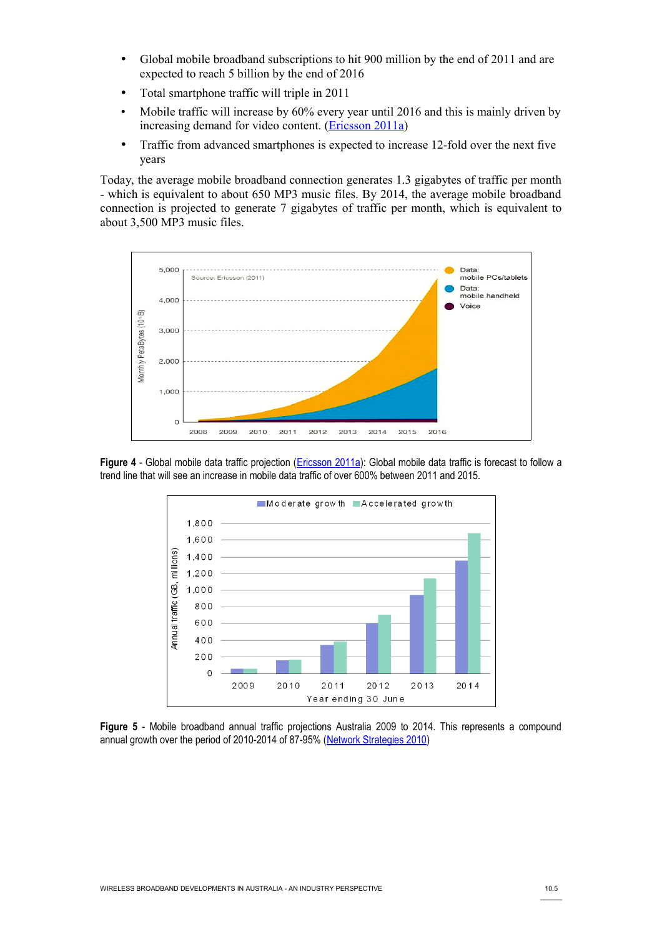- Global mobile broadband subscriptions to hit 900 million by the end of 2011 and are expected to reach 5 billion by the end of 2016
- Total smartphone traffic will triple in 2011
- Mobile traffic will increase by 60% every year until 2016 and this is mainly driven by increasing demand for video content. [\(Ericsson 2011a\)](#page-13-4)
- Traffic from advanced smartphones is expected to increase 12-fold over the next five years

Today, the average mobile broadband connection generates 1.3 gigabytes of traffic per month - which is equivalent to about 650 MP3 music files. By 2014, the average mobile broadband connection is projected to generate 7 gigabytes of traffic per month, which is equivalent to about 3,500 MP3 music files.



**Figure 4** - Global mobile data traffic projection [\(Ericsson 2011a\)](#page-13-4): Global mobile data traffic is forecast to follow a trend line that will see an increase in mobile data traffic of over 600% between 2011 and 2015.



**Figure 5** - Mobile broadband annual traffic projections Australia 2009 to 2014. This represents a compound annual growth over the period of 2010-2014 of 87-95% [\(Network Strategies 2010\)](#page-13-3)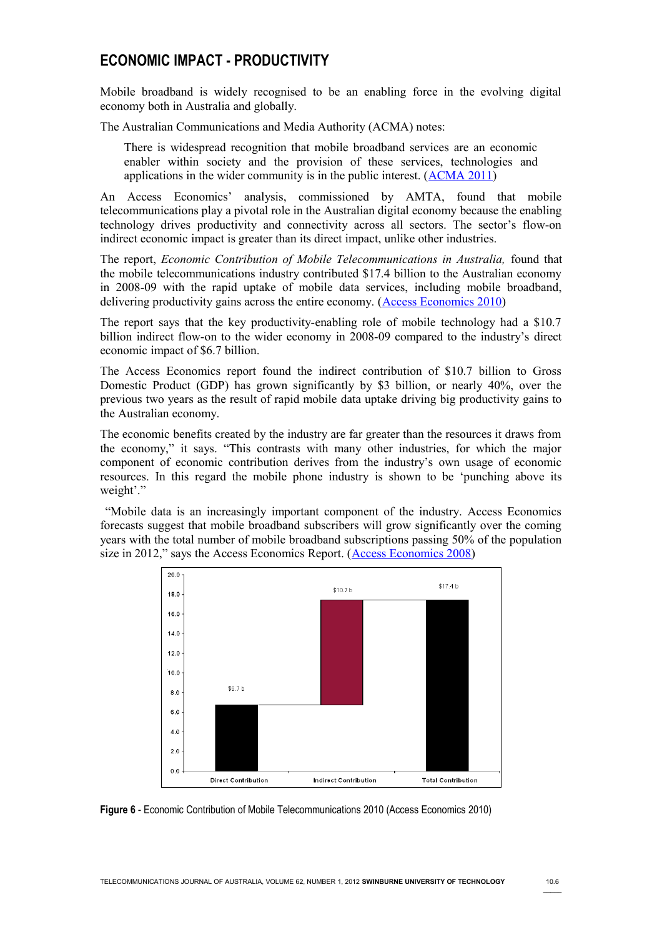## **ECONOMIC IMPACT - PRODUCTIVITY**

Mobile broadband is widely recognised to be an enabling force in the evolving digital economy both in Australia and globally.

The Australian Communications and Media Authority (ACMA) notes:

There is widespread recognition that mobile broadband services are an economic enabler within society and the provision of these services, technologies and applications in the wider community is in the public interest. [\(ACMA 2011\)](#page-13-5)

An Access Economics' analysis, commissioned by AMTA, found that mobile telecommunications play a pivotal role in the Australian digital economy because the enabling technology drives productivity and connectivity across all sectors. The sector's flow-on indirect economic impact is greater than its direct impact, unlike other industries.

The report, *Economic Contribution of Mobile Telecommunications in Australia,* found that the mobile telecommunications industry contributed \$17.4 billion to the Australian economy in 2008-09 with the rapid uptake of mobile data services, including mobile broadband, delivering productivity gains across the entire economy. [\(Access Economics 2010\)](#page-12-1)

The report says that the key productivity-enabling role of mobile technology had a \$10.7 billion indirect flow-on to the wider economy in 2008-09 compared to the industry's direct economic impact of \$6.7 billion.

The Access Economics report found the indirect contribution of \$10.7 billion to Gross Domestic Product (GDP) has grown significantly by \$3 billion, or nearly 40%, over the previous two years as the result of rapid mobile data uptake driving big productivity gains to the Australian economy.

The economic benefits created by the industry are far greater than the resources it draws from the economy," it says. "This contrasts with many other industries, for which the major component of economic contribution derives from the industry's own usage of economic resources. In this regard the mobile phone industry is shown to be 'punching above its weight'."

 "Mobile data is an increasingly important component of the industry. Access Economics forecasts suggest that mobile broadband subscribers will grow significantly over the coming years with the total number of mobile broadband subscriptions passing 50% of the population size in 2012," says the Access Economics Report. [\(Access Economics 2008\)](#page-12-0)



**Figure 6** - Economic Contribution of Mobile Telecommunications 2010 (Access Economics 2010)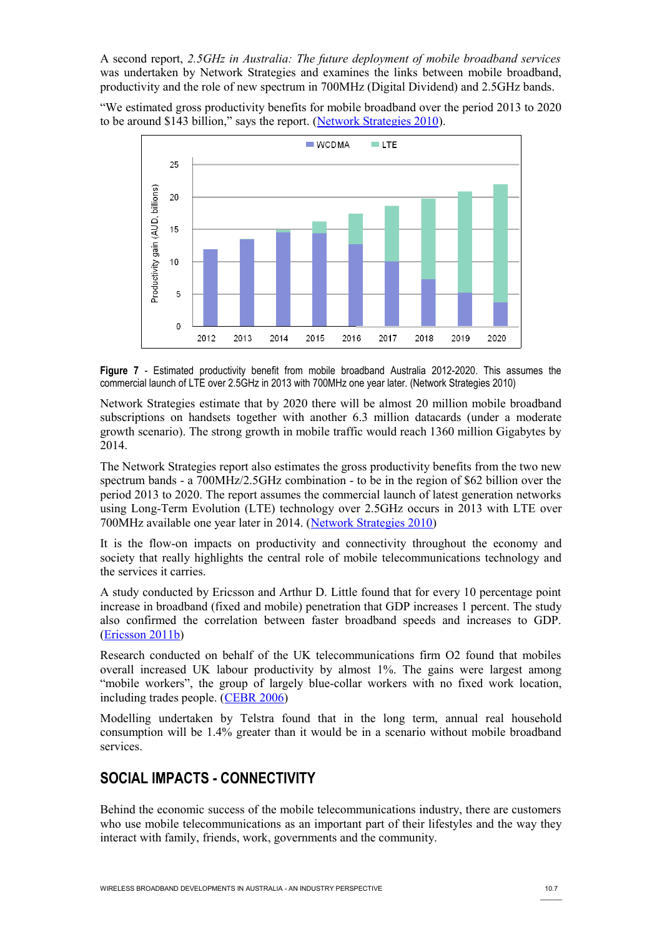A second report, *2.5GHz in Australia: The future deployment of mobile broadband services* was undertaken by Network Strategies and examines the links between mobile broadband, productivity and the role of new spectrum in 700MHz (Digital Dividend) and 2.5GHz bands.

"We estimated gross productivity benefits for mobile broadband over the period 2013 to 2020 to be around \$143 billion," says the report. [\(Network Strategies 2010\)](#page-13-3).



**Figure 7** - Estimated productivity benefit from mobile broadband Australia 2012-2020. This assumes the commercial launch of LTE over 2.5GHz in 2013 with 700MHz one year later. (Network Strategies 2010)

Network Strategies estimate that by 2020 there will be almost 20 million mobile broadband subscriptions on handsets together with another 6.3 million datacards (under a moderate growth scenario). The strong growth in mobile traffic would reach 1360 million Gigabytes by 2014.

The Network Strategies report also estimates the gross productivity benefits from the two new spectrum bands - a 700MHz/2.5GHz combination - to be in the region of \$62 billion over the period 2013 to 2020. The report assumes the commercial launch of latest generation networks using Long-Term Evolution (LTE) technology over 2.5GHz occurs in 2013 with LTE over 700MHz available one year later in 2014. [\(Network Strategies 2010\)](#page-13-3)

It is the flow-on impacts on productivity and connectivity throughout the economy and society that really highlights the central role of mobile telecommunications technology and the services it carries.

A study conducted by Ericsson and Arthur D. Little found that for every 10 percentage point increase in broadband (fixed and mobile) penetration that GDP increases 1 percent. The study also confirmed the correlation between faster broadband speeds and increases to GDP. [\(Ericsson 2011b\)](#page-13-7)

Research conducted on behalf of the UK telecommunications firm O2 found that mobiles overall increased UK labour productivity by almost 1%. The gains were largest among "mobile workers", the group of largely blue-collar workers with no fixed work location, including trades people. [\(CEBR 2006\)](#page-13-6)

Modelling undertaken by Telstra found that in the long term, annual real household consumption will be 1.4% greater than it would be in a scenario without mobile broadband services.

## **SOCIAL IMPACTS - CONNECTIVITY**

Behind the economic success of the mobile telecommunications industry, there are customers who use mobile telecommunications as an important part of their lifestyles and the way they interact with family, friends, work, governments and the community.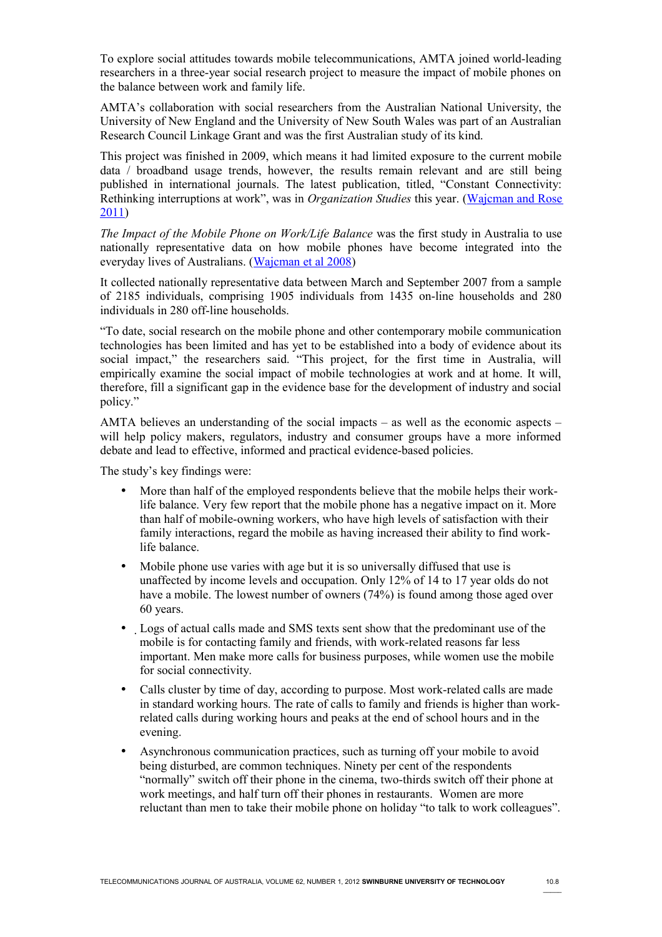To explore social attitudes towards mobile telecommunications, AMTA joined world-leading researchers in a three-year social research project to measure the impact of mobile phones on the balance between work and family life.

AMTA's collaboration with social researchers from the Australian National University, the University of New England and the University of New South Wales was part of an Australian Research Council Linkage Grant and was the first Australian study of its kind.

This project was finished in 2009, which means it had limited exposure to the current mobile data / broadband usage trends, however, the results remain relevant and are still being published in international journals. The latest publication, titled, "Constant Connectivity: Rethinking interruptions at work", was in *Organization Studies* this year. [\(Wajcman and Rose](#page-13-9) [2011\)](#page-13-9)

*The Impact of the Mobile Phone on Work/Life Balance* was the first study in Australia to use nationally representative data on how mobile phones have become integrated into the everyday lives of Australians. [\(Wajcman et al 2008\)](#page-13-8)

It collected nationally representative data between March and September 2007 from a sample of 2185 individuals, comprising 1905 individuals from 1435 on-line households and 280 individuals in 280 off-line households.

"To date, social research on the mobile phone and other contemporary mobile communication technologies has been limited and has yet to be established into a body of evidence about its social impact," the researchers said. "This project, for the first time in Australia, will empirically examine the social impact of mobile technologies at work and at home. It will, therefore, fill a significant gap in the evidence base for the development of industry and social policy."

AMTA believes an understanding of the social impacts – as well as the economic aspects – will help policy makers, regulators, industry and consumer groups have a more informed debate and lead to effective, informed and practical evidence-based policies.

The study's key findings were:

- More than half of the employed respondents believe that the mobile helps their worklife balance. Very few report that the mobile phone has a negative impact on it. More than half of mobile-owning workers, who have high levels of satisfaction with their family interactions, regard the mobile as having increased their ability to find worklife balance.
- Mobile phone use varies with age but it is so universally diffused that use is unaffected by income levels and occupation. Only 12% of 14 to 17 year olds do not have a mobile. The lowest number of owners (74%) is found among those aged over 60 years.
- Logs of actual calls made and SMS texts sent show that the predominant use of the mobile is for contacting family and friends, with work-related reasons far less important. Men make more calls for business purposes, while women use the mobile for social connectivity.
- Calls cluster by time of day, according to purpose. Most work-related calls are made in standard working hours. The rate of calls to family and friends is higher than workrelated calls during working hours and peaks at the end of school hours and in the evening.
- Asynchronous communication practices, such as turning off your mobile to avoid being disturbed, are common techniques. Ninety per cent of the respondents "normally" switch off their phone in the cinema, two-thirds switch off their phone at work meetings, and half turn off their phones in restaurants. Women are more reluctant than men to take their mobile phone on holiday "to talk to work colleagues".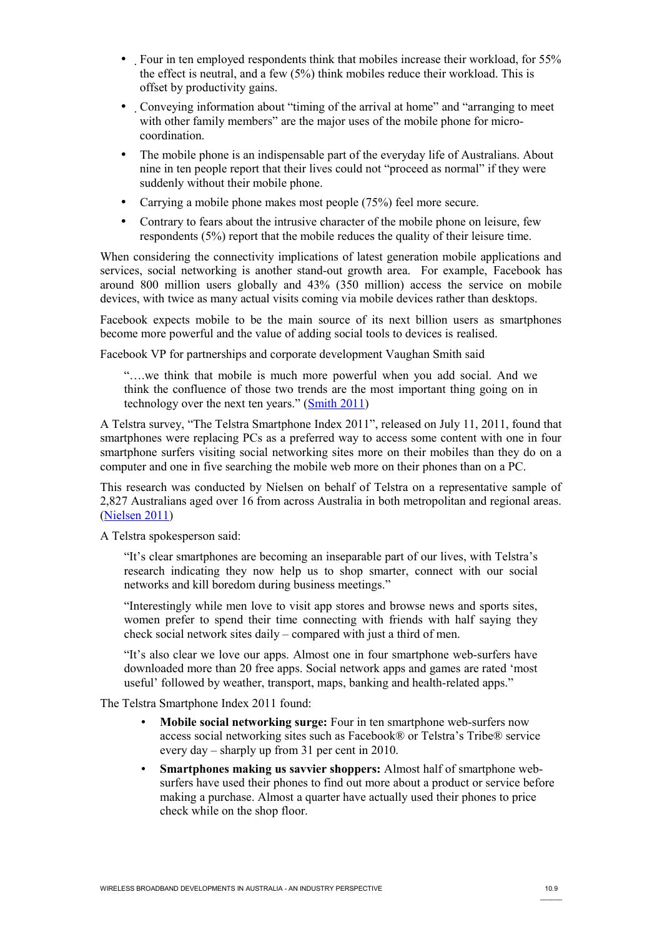- Four in ten employed respondents think that mobiles increase their workload, for 55% the effect is neutral, and a few  $(5%)$  think mobiles reduce their workload. This is offset by productivity gains.
- Conveying information about "timing of the arrival at home" and "arranging to meet with other family members" are the major uses of the mobile phone for microcoordination.
- The mobile phone is an indispensable part of the everyday life of Australians. About nine in ten people report that their lives could not "proceed as normal" if they were suddenly without their mobile phone.
- Carrying a mobile phone makes most people (75%) feel more secure.
- Contrary to fears about the intrusive character of the mobile phone on leisure, few respondents (5%) report that the mobile reduces the quality of their leisure time.

When considering the connectivity implications of latest generation mobile applications and services, social networking is another stand-out growth area. For example, Facebook has around 800 million users globally and 43% (350 million) access the service on mobile devices, with twice as many actual visits coming via mobile devices rather than desktops.

Facebook expects mobile to be the main source of its next billion users as smartphones become more powerful and the value of adding social tools to devices is realised.

Facebook VP for partnerships and corporate development Vaughan Smith said

"….we think that mobile is much more powerful when you add social. And we think the confluence of those two trends are the most important thing going on in technology over the next ten years." [\(Smith 2011\)](#page-13-11)

A Telstra survey, "The Telstra Smartphone Index 2011", released on July 11, 2011, found that smartphones were replacing PCs as a preferred way to access some content with one in four smartphone surfers visiting social networking sites more on their mobiles than they do on a computer and one in five searching the mobile web more on their phones than on a PC.

This research was conducted by Nielsen on behalf of Telstra on a representative sample of 2,827 Australians aged over 16 from across Australia in both metropolitan and regional areas. (**Nielsen 2011**)

A Telstra spokesperson said:

"It's clear smartphones are becoming an inseparable part of our lives, with Telstra's research indicating they now help us to shop smarter, connect with our social networks and kill boredom during business meetings."

"Interestingly while men love to visit app stores and browse news and sports sites, women prefer to spend their time connecting with friends with half saying they check social network sites daily – compared with just a third of men.

"It's also clear we love our apps. Almost one in four smartphone web-surfers have downloaded more than 20 free apps. Social network apps and games are rated 'most useful' followed by weather, transport, maps, banking and health-related apps."

The Telstra Smartphone Index 2011 found:

- **Mobile social networking surge:** Four in ten smartphone web-surfers now access social networking sites such as Facebook® or Telstra's Tribe® service every day – sharply up from 31 per cent in 2010.
- **Smartphones making us savvier shoppers:** Almost half of smartphone websurfers have used their phones to find out more about a product or service before making a purchase. Almost a quarter have actually used their phones to price check while on the shop floor.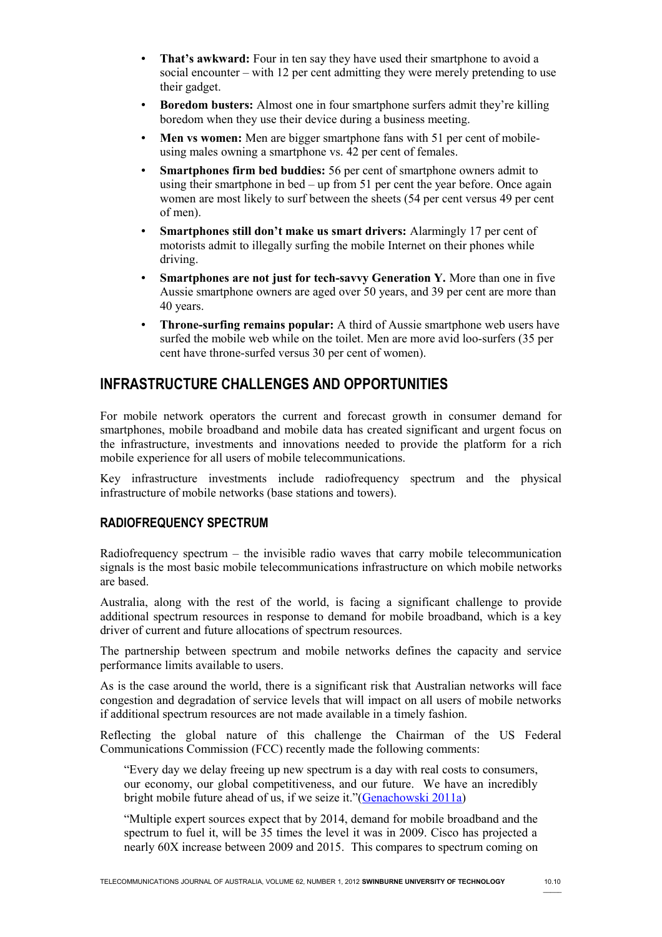- **That's awkward:** Four in ten say they have used their smartphone to avoid a social encounter – with 12 per cent admitting they were merely pretending to use their gadget.
- **Boredom busters:** Almost one in four smartphone surfers admit they're killing boredom when they use their device during a business meeting.
- **Men vs women:** Men are bigger smartphone fans with 51 per cent of mobileusing males owning a smartphone vs. 42 per cent of females.
- **Smartphones firm bed buddies:** 56 per cent of smartphone owners admit to using their smartphone in bed – up from 51 per cent the year before. Once again women are most likely to surf between the sheets (54 per cent versus 49 per cent of men).
- **Smartphones still don't make us smart drivers:** Alarmingly 17 per cent of motorists admit to illegally surfing the mobile Internet on their phones while driving.
- **Smartphones are not just for tech-savvy Generation Y.** More than one in five Aussie smartphone owners are aged over 50 years, and 39 per cent are more than 40 years.
- **Throne-surfing remains popular:** A third of Aussie smartphone web users have surfed the mobile web while on the toilet. Men are more avid loo-surfers (35 per cent have throne-surfed versus 30 per cent of women).

# **INFRASTRUCTURE CHALLENGES AND OPPORTUNITIES**

For mobile network operators the current and forecast growth in consumer demand for smartphones, mobile broadband and mobile data has created significant and urgent focus on the infrastructure, investments and innovations needed to provide the platform for a rich mobile experience for all users of mobile telecommunications.

Key infrastructure investments include radiofrequency spectrum and the physical infrastructure of mobile networks (base stations and towers).

#### **RADIOFREQUENCY SPECTRUM**

Radiofrequency spectrum – the invisible radio waves that carry mobile telecommunication signals is the most basic mobile telecommunications infrastructure on which mobile networks are based.

Australia, along with the rest of the world, is facing a significant challenge to provide additional spectrum resources in response to demand for mobile broadband, which is a key driver of current and future allocations of spectrum resources.

The partnership between spectrum and mobile networks defines the capacity and service performance limits available to users.

As is the case around the world, there is a significant risk that Australian networks will face congestion and degradation of service levels that will impact on all users of mobile networks if additional spectrum resources are not made available in a timely fashion.

Reflecting the global nature of this challenge the Chairman of the US Federal Communications Commission (FCC) recently made the following comments:

"Every day we delay freeing up new spectrum is a day with real costs to consumers, our economy, our global competitiveness, and our future. We have an incredibly bright mobile future ahead of us, if we seize it."[\(Genachowski 2011a\)](#page-13-12)

"Multiple expert sources expect that by 2014, demand for mobile broadband and the spectrum to fuel it, will be 35 times the level it was in 2009. Cisco has projected a nearly 60X increase between 2009 and 2015. This compares to spectrum coming on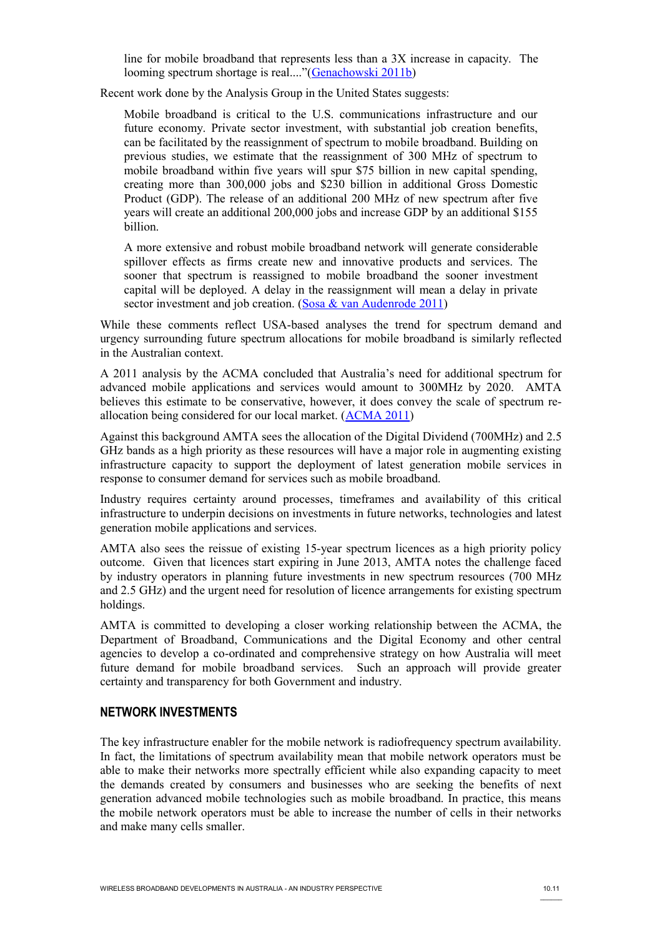line for mobile broadband that represents less than a 3X increase in capacity. The looming spectrum shortage is real...."[\(Genachowski 2011b\)](#page-13-14)

Recent work done by the Analysis Group in the United States suggests:

Mobile broadband is critical to the U.S. communications infrastructure and our future economy. Private sector investment, with substantial job creation benefits, can be facilitated by the reassignment of spectrum to mobile broadband. Building on previous studies, we estimate that the reassignment of 300 MHz of spectrum to mobile broadband within five years will spur \$75 billion in new capital spending, creating more than 300,000 jobs and \$230 billion in additional Gross Domestic Product (GDP). The release of an additional 200 MHz of new spectrum after five years will create an additional 200,000 jobs and increase GDP by an additional \$155 billion.

A more extensive and robust mobile broadband network will generate considerable spillover effects as firms create new and innovative products and services. The sooner that spectrum is reassigned to mobile broadband the sooner investment capital will be deployed. A delay in the reassignment will mean a delay in private sector investment and job creation. (Sosa & van Audenrode 2011)

While these comments reflect USA-based analyses the trend for spectrum demand and urgency surrounding future spectrum allocations for mobile broadband is similarly reflected in the Australian context.

A 2011 analysis by the ACMA concluded that Australia's need for additional spectrum for advanced mobile applications and services would amount to 300MHz by 2020. AMTA believes this estimate to be conservative, however, it does convey the scale of spectrum reallocation being considered for our local market. [\(ACMA 2011\)](#page-13-5)

Against this background AMTA sees the allocation of the Digital Dividend (700MHz) and 2.5 GHz bands as a high priority as these resources will have a major role in augmenting existing infrastructure capacity to support the deployment of latest generation mobile services in response to consumer demand for services such as mobile broadband.

Industry requires certainty around processes, timeframes and availability of this critical infrastructure to underpin decisions on investments in future networks, technologies and latest generation mobile applications and services.

AMTA also sees the reissue of existing 15-year spectrum licences as a high priority policy outcome. Given that licences start expiring in June 2013, AMTA notes the challenge faced by industry operators in planning future investments in new spectrum resources (700 MHz and 2.5 GHz) and the urgent need for resolution of licence arrangements for existing spectrum holdings.

AMTA is committed to developing a closer working relationship between the ACMA, the Department of Broadband, Communications and the Digital Economy and other central agencies to develop a co-ordinated and comprehensive strategy on how Australia will meet future demand for mobile broadband services. Such an approach will provide greater certainty and transparency for both Government and industry.

#### **NETWORK INVESTMENTS**

The key infrastructure enabler for the mobile network is radiofrequency spectrum availability. In fact, the limitations of spectrum availability mean that mobile network operators must be able to make their networks more spectrally efficient while also expanding capacity to meet the demands created by consumers and businesses who are seeking the benefits of next generation advanced mobile technologies such as mobile broadband. In practice, this means the mobile network operators must be able to increase the number of cells in their networks and make many cells smaller.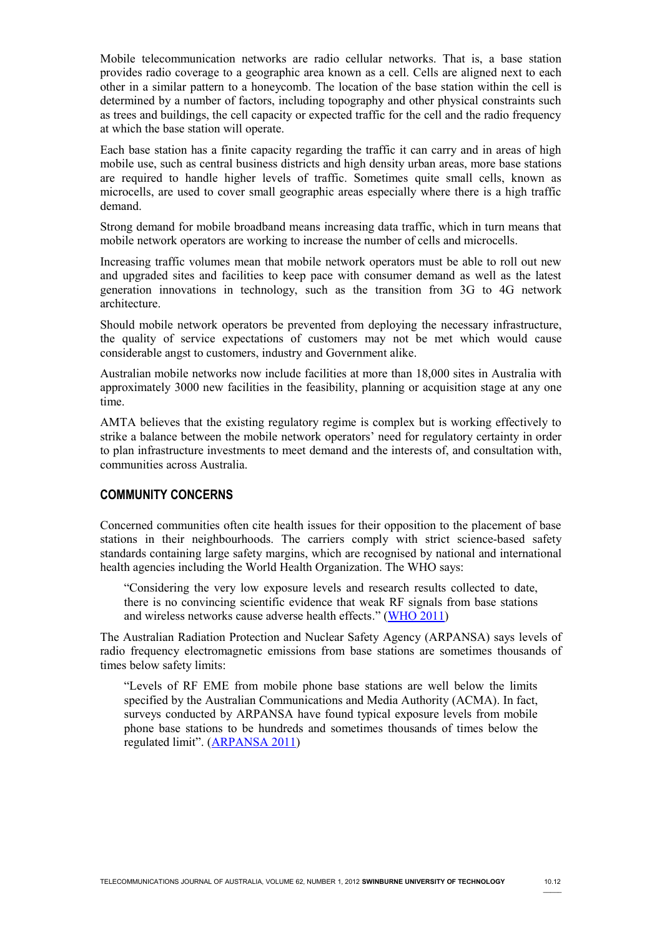Mobile telecommunication networks are radio cellular networks. That is, a base station provides radio coverage to a geographic area known as a cell. Cells are aligned next to each other in a similar pattern to a honeycomb. The location of the base station within the cell is determined by a number of factors, including topography and other physical constraints such as trees and buildings, the cell capacity or expected traffic for the cell and the radio frequency at which the base station will operate.

Each base station has a finite capacity regarding the traffic it can carry and in areas of high mobile use, such as central business districts and high density urban areas, more base stations are required to handle higher levels of traffic. Sometimes quite small cells, known as microcells, are used to cover small geographic areas especially where there is a high traffic demand.

Strong demand for mobile broadband means increasing data traffic, which in turn means that mobile network operators are working to increase the number of cells and microcells.

Increasing traffic volumes mean that mobile network operators must be able to roll out new and upgraded sites and facilities to keep pace with consumer demand as well as the latest generation innovations in technology, such as the transition from 3G to 4G network architecture.

Should mobile network operators be prevented from deploying the necessary infrastructure, the quality of service expectations of customers may not be met which would cause considerable angst to customers, industry and Government alike.

Australian mobile networks now include facilities at more than 18,000 sites in Australia with approximately 3000 new facilities in the feasibility, planning or acquisition stage at any one time.

AMTA believes that the existing regulatory regime is complex but is working effectively to strike a balance between the mobile network operators' need for regulatory certainty in order to plan infrastructure investments to meet demand and the interests of, and consultation with, communities across Australia.

#### **COMMUNITY CONCERNS**

Concerned communities often cite health issues for their opposition to the placement of base stations in their neighbourhoods. The carriers comply with strict science-based safety standards containing large safety margins, which are recognised by national and international health agencies including the World Health Organization. The WHO says:

"Considering the very low exposure levels and research results collected to date, there is no convincing scientific evidence that weak RF signals from base stations and wireless networks cause adverse health effects." [\(WHO 2011\)](#page-14-1)

The Australian Radiation Protection and Nuclear Safety Agency (ARPANSA) says levels of radio frequency electromagnetic emissions from base stations are sometimes thousands of times below safety limits:

"Levels of RF EME from mobile phone base stations are well below the limits specified by the Australian Communications and Media Authority (ACMA). In fact, surveys conducted by ARPANSA have found typical exposure levels from mobile phone base stations to be hundreds and sometimes thousands of times below the regulated limit". [\(ARPANSA 2011\)](#page-13-15)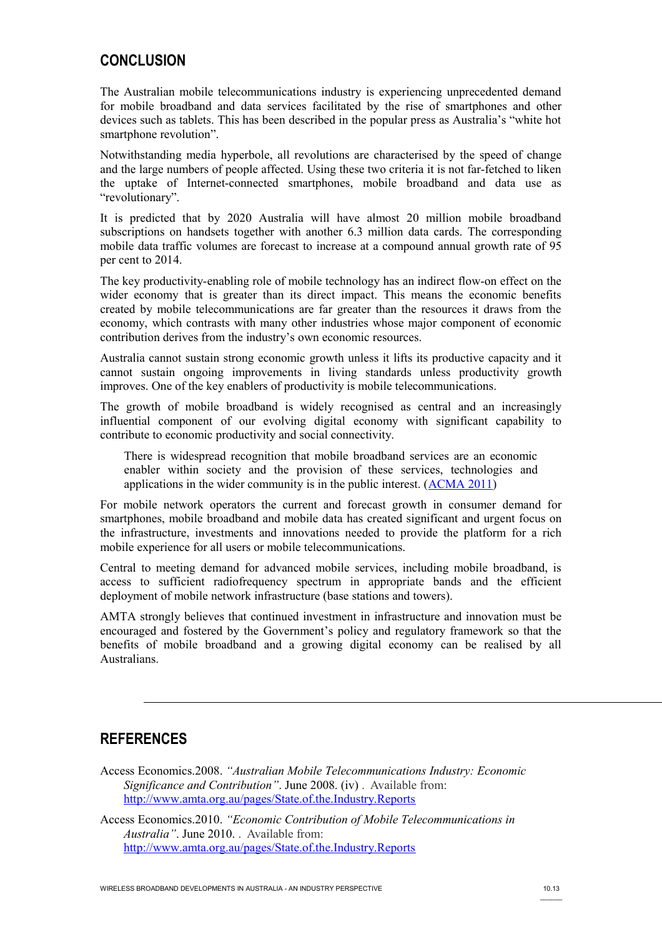## **CONCLUSION**

The Australian mobile telecommunications industry is experiencing unprecedented demand for mobile broadband and data services facilitated by the rise of smartphones and other devices such as tablets. This has been described in the popular press as Australia's "white hot smartphone revolution".

Notwithstanding media hyperbole, all revolutions are characterised by the speed of change and the large numbers of people affected. Using these two criteria it is not far-fetched to liken the uptake of Internet-connected smartphones, mobile broadband and data use as "revolutionary".

It is predicted that by 2020 Australia will have almost 20 million mobile broadband subscriptions on handsets together with another 6.3 million data cards. The corresponding mobile data traffic volumes are forecast to increase at a compound annual growth rate of 95 per cent to 2014.

The key productivity-enabling role of mobile technology has an indirect flow-on effect on the wider economy that is greater than its direct impact. This means the economic benefits created by mobile telecommunications are far greater than the resources it draws from the economy, which contrasts with many other industries whose major component of economic contribution derives from the industry's own economic resources.

Australia cannot sustain strong economic growth unless it lifts its productive capacity and it cannot sustain ongoing improvements in living standards unless productivity growth improves. One of the key enablers of productivity is mobile telecommunications.

The growth of mobile broadband is widely recognised as central and an increasingly influential component of our evolving digital economy with significant capability to contribute to economic productivity and social connectivity.

There is widespread recognition that mobile broadband services are an economic enabler within society and the provision of these services, technologies and applications in the wider community is in the public interest. [\(ACMA 2011\)](#page-13-5)

For mobile network operators the current and forecast growth in consumer demand for smartphones, mobile broadband and mobile data has created significant and urgent focus on the infrastructure, investments and innovations needed to provide the platform for a rich mobile experience for all users or mobile telecommunications.

Central to meeting demand for advanced mobile services, including mobile broadband, is access to sufficient radiofrequency spectrum in appropriate bands and the efficient deployment of mobile network infrastructure (base stations and towers).

AMTA strongly believes that continued investment in infrastructure and innovation must be encouraged and fostered by the Government's policy and regulatory framework so that the benefits of mobile broadband and a growing digital economy can be realised by all Australians.

## **REFERENCES**

<span id="page-12-0"></span>Access Economics.2008. *"Australian Mobile Telecommunications Industry: Economic Significance and Contribution"*. June 2008. (iv) . Available from: <http://www.amta.org.au/pages/State.of.the.Industry.Reports>

<span id="page-12-1"></span>Access Economics.2010. *"Economic Contribution of Mobile Telecommunications in Australia"*. June 2010. . Available from: <http://www.amta.org.au/pages/State.of.the.Industry.Reports>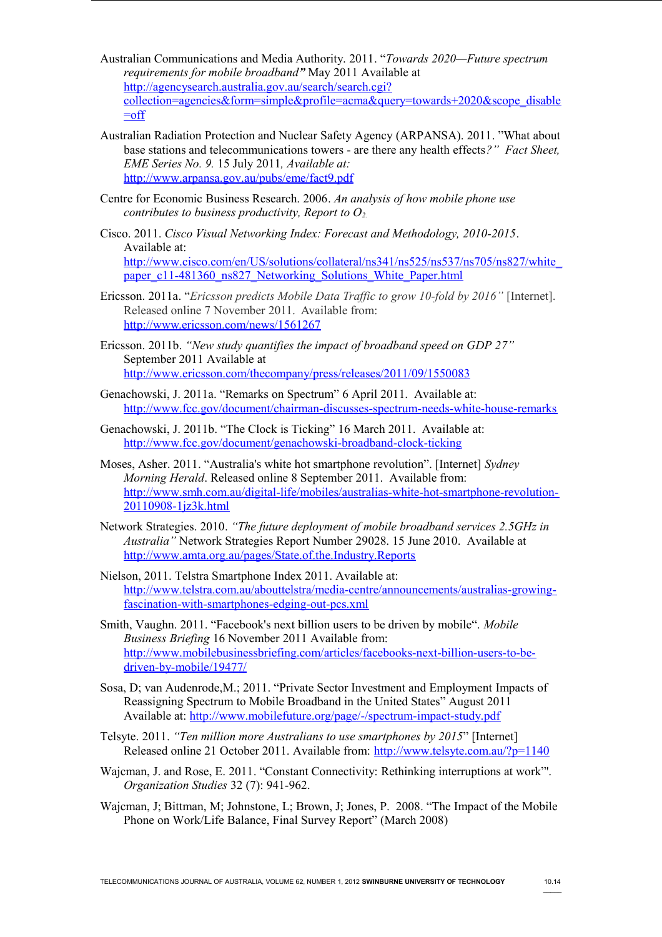- <span id="page-13-5"></span>Australian Communications and Media Authority. 2011. "*Towards 2020—Future spectrum requirements for mobile broadband"* May 2011 Available at [http://agencysearch.australia.gov.au/search/search.cgi?](http://agencysearch.australia.gov.au/search/search.cgi?collection=agencies&form=simple&profile=acma&query=towards+2020&scope_disable=off) [collection=agencies&form=simple&profile=acma&query=towards+2020&scope\\_disable](http://agencysearch.australia.gov.au/search/search.cgi?collection=agencies&form=simple&profile=acma&query=towards+2020&scope_disable=off)  $=$ off
- <span id="page-13-15"></span>Australian Radiation Protection and Nuclear Safety Agency (ARPANSA). 2011. "What about base stations and telecommunications towers - are there any health effects*?" Fact Sheet, EME Series No. 9.* 15 July 2011*, Available at:* <http://www.arpansa.gov.au/pubs/eme/fact9.pdf>
- <span id="page-13-6"></span>Centre for Economic Business Research. 2006. *An analysis of how mobile phone use contributes to business productivity, Report to O2.*
- <span id="page-13-1"></span>Cisco. 2011. *Cisco Visual Networking Index: Forecast and Methodology, 2010-2015*. Available at: [http://www.cisco.com/en/US/solutions/collateral/ns341/ns525/ns537/ns705/ns827/white\\_](http://www.cisco.com/en/US/solutions/collateral/ns341/ns525/ns537/ns705/ns827/white_paper_c11-481360_ns827_Networking_Solutions_White_Paper.html) [paper\\_c11-481360\\_ns827\\_Networking\\_Solutions\\_White\\_Paper.html](http://www.cisco.com/en/US/solutions/collateral/ns341/ns525/ns537/ns705/ns827/white_paper_c11-481360_ns827_Networking_Solutions_White_Paper.html)
- <span id="page-13-4"></span>Ericsson. 2011a. "*Ericsson predicts Mobile Data Traffic to grow 10-fold by 2016"* [Internet]. Released online 7 November 2011. Available from: <http://www.ericsson.com/news/1561267>
- <span id="page-13-7"></span>Ericsson. 2011b. *"New study quantifies the impact of broadband speed on GDP 27"* September 2011 Available at <http://www.ericsson.com/thecompany/press/releases/2011/09/1550083>
- <span id="page-13-12"></span>Genachowski, J. 2011a. "Remarks on Spectrum" 6 April 2011. Available at: <http://www.fcc.gov/document/chairman-discusses-spectrum-needs-white-house-remarks>
- <span id="page-13-14"></span>Genachowski, J. 2011b. "The Clock is Ticking" 16 March 2011. Available at: <http://www.fcc.gov/document/genachowski-broadband-clock-ticking>
- <span id="page-13-0"></span>Moses, Asher. 2011. "Australia's white hot smartphone revolution". [Internet] *Sydney Morning Herald*. Released online 8 September 2011. Available from: [http://www.smh.com.au/digital-life/mobiles/australias-white-hot-smartphone-revolution-](http://www.smh.com.au/digital-life/mobiles/australias-white-hot-smartphone-revolution-20110908-1jz3k.html)[20110908-1jz3k.html](http://www.smh.com.au/digital-life/mobiles/australias-white-hot-smartphone-revolution-20110908-1jz3k.html)
- <span id="page-13-3"></span>Network Strategies. 2010. *"The future deployment of mobile broadband services 2.5GHz in Australia"* Network Strategies Report Number 29028. 15 June 2010. Available at <http://www.amta.org.au/pages/State.of.the.Industry.Reports>
- <span id="page-13-10"></span>Nielson, 2011. Telstra Smartphone Index 2011. Available at: [http://www.telstra.com.au/abouttelstra/media-centre/announcements/australias-growing](http://www.telstra.com.au/abouttelstra/media-centre/announcements/australias-growing-fascination-with-smartphones-edging-out-pcs.xml)[fascination-with-smartphones-edging-out-pcs.xml](http://www.telstra.com.au/abouttelstra/media-centre/announcements/australias-growing-fascination-with-smartphones-edging-out-pcs.xml)
- <span id="page-13-11"></span>Smith, Vaughn. 2011. "Facebook's next billion users to be driven by mobile". *Mobile Business Briefing* 16 November 2011 Available from: [http://www.mobilebusinessbriefing.com/articles/facebooks-next-billion-users-to-be](http://www.mobilebusinessbriefing.com/articles/facebooks-next-billion-users-to-be-driven-by-mobile/19477/)[driven-by-mobile/19477/](http://www.mobilebusinessbriefing.com/articles/facebooks-next-billion-users-to-be-driven-by-mobile/19477/)
- <span id="page-13-13"></span>Sosa, D; van Audenrode,M.; 2011. "Private Sector Investment and Employment Impacts of Reassigning Spectrum to Mobile Broadband in the United States" August 2011 Available at:<http://www.mobilefuture.org/page/-/spectrum-impact-study.pdf>
- <span id="page-13-2"></span>Telsyte. 2011. *"Ten million more Australians to use smartphones by 2015*" [Internet] Released online 21 October 2011. Available from:<http://www.telsyte.com.au/?p=1140>
- <span id="page-13-9"></span>Wajcman, J. and Rose, E. 2011. "Constant Connectivity: Rethinking interruptions at work"'. *Organization Studies* 32 (7): 941-962.
- <span id="page-13-8"></span>Wajcman, J; Bittman, M; Johnstone, L; Brown, J; Jones, P. 2008. "The Impact of the Mobile Phone on Work/Life Balance, Final Survey Report" (March 2008)